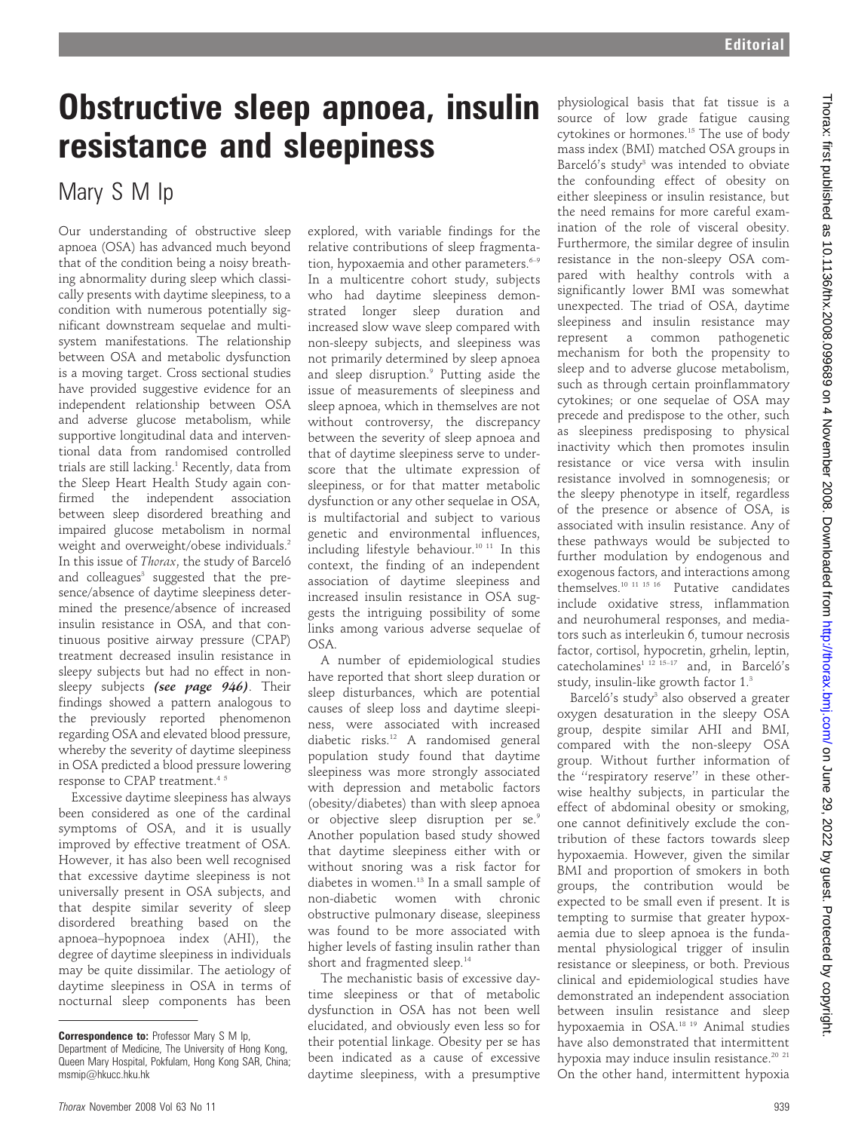## Obstructive sleep apnoea, insulin resistance and sleepiness

### Mary S M Ip

Our understanding of obstructive sleep apnoea (OSA) has advanced much beyond that of the condition being a noisy breathing abnormality during sleep which classically presents with daytime sleepiness, to a condition with numerous potentially significant downstream sequelae and multisystem manifestations. The relationship between OSA and metabolic dysfunction is a moving target. Cross sectional studies have provided suggestive evidence for an independent relationship between OSA and adverse glucose metabolism, while supportive longitudinal data and interventional data from randomised controlled trials are still lacking.<sup>1</sup> Recently, data from the Sleep Heart Health Study again confirmed the independent association between sleep disordered breathing and impaired glucose metabolism in normal weight and overweight/obese individuals.<sup>2</sup> In this issue of *Thorax*, the study of Barceló and colleagues<sup>3</sup> suggested that the presence/absence of daytime sleepiness determined the presence/absence of increased insulin resistance in OSA, and that continuous positive airway pressure (CPAP) treatment decreased insulin resistance in sleepy subjects but had no effect in nonsleepy subjects (see page 946). Their findings showed a pattern analogous to the previously reported phenomenon regarding OSA and elevated blood pressure, whereby the severity of daytime sleepiness in OSA predicted a blood pressure lowering response to CPAP treatment.<sup>45</sup>

Excessive daytime sleepiness has always been considered as one of the cardinal symptoms of OSA, and it is usually improved by effective treatment of OSA. However, it has also been well recognised that excessive daytime sleepiness is not universally present in OSA subjects, and that despite similar severity of sleep disordered breathing based on the apnoea–hypopnoea index (AHI), the degree of daytime sleepiness in individuals may be quite dissimilar. The aetiology of daytime sleepiness in OSA in terms of nocturnal sleep components has been

explored, with variable findings for the relative contributions of sleep fragmentation, hypoxaemia and other parameters.<sup>6-9</sup> In a multicentre cohort study, subjects who had daytime sleepiness demonstrated longer sleep duration and increased slow wave sleep compared with non-sleepy subjects, and sleepiness was not primarily determined by sleep apnoea and sleep disruption.<sup>9</sup> Putting aside the issue of measurements of sleepiness and sleep apnoea, which in themselves are not without controversy, the discrepancy between the severity of sleep apnoea and that of daytime sleepiness serve to underscore that the ultimate expression of sleepiness, or for that matter metabolic dysfunction or any other sequelae in OSA, is multifactorial and subject to various genetic and environmental influences, including lifestyle behaviour.<sup>10 11</sup> In this context, the finding of an independent association of daytime sleepiness and increased insulin resistance in OSA suggests the intriguing possibility of some links among various adverse sequelae of OSA.

A number of epidemiological studies have reported that short sleep duration or sleep disturbances, which are potential causes of sleep loss and daytime sleepiness, were associated with increased diabetic risks.12 A randomised general population study found that daytime sleepiness was more strongly associated with depression and metabolic factors (obesity/diabetes) than with sleep apnoea or objective sleep disruption per se.<sup>9</sup> Another population based study showed that daytime sleepiness either with or without snoring was a risk factor for diabetes in women.13 In a small sample of non-diabetic women with chronic obstructive pulmonary disease, sleepiness was found to be more associated with higher levels of fasting insulin rather than short and fragmented sleep.<sup>14</sup>

The mechanistic basis of excessive daytime sleepiness or that of metabolic dysfunction in OSA has not been well elucidated, and obviously even less so for their potential linkage. Obesity per se has been indicated as a cause of excessive daytime sleepiness, with a presumptive physiological basis that fat tissue is a source of low grade fatigue causing cytokines or hormones.15 The use of body mass index (BMI) matched OSA groups in Barceló's study<sup>3</sup> was intended to obviate the confounding effect of obesity on either sleepiness or insulin resistance, but the need remains for more careful examination of the role of visceral obesity. Furthermore, the similar degree of insulin resistance in the non-sleepy OSA compared with healthy controls with a significantly lower BMI was somewhat unexpected. The triad of OSA, daytime sleepiness and insulin resistance may represent a common pathogenetic mechanism for both the propensity to sleep and to adverse glucose metabolism, such as through certain proinflammatory cytokines; or one sequelae of OSA may precede and predispose to the other, such as sleepiness predisposing to physical inactivity which then promotes insulin resistance or vice versa with insulin resistance involved in somnogenesis; or the sleepy phenotype in itself, regardless of the presence or absence of OSA, is associated with insulin resistance. Any of these pathways would be subjected to further modulation by endogenous and exogenous factors, and interactions among themselves.10 11 15 16 Putative candidates include oxidative stress, inflammation and neurohumeral responses, and mediators such as interleukin 6, tumour necrosis factor, cortisol, hypocretin, grhelin, leptin, catecholamines<sup>1 12</sup> <sup>15-17</sup> and, in Barceló's study, insulin-like growth factor 1.3

Barceló's study<sup>3</sup> also observed a greater oxygen desaturation in the sleepy OSA group, despite similar AHI and BMI, compared with the non-sleepy OSA group. Without further information of the ''respiratory reserve'' in these otherwise healthy subjects, in particular the effect of abdominal obesity or smoking, one cannot definitively exclude the contribution of these factors towards sleep hypoxaemia. However, given the similar BMI and proportion of smokers in both groups, the contribution would be expected to be small even if present. It is tempting to surmise that greater hypoxaemia due to sleep apnoea is the fundamental physiological trigger of insulin resistance or sleepiness, or both. Previous clinical and epidemiological studies have demonstrated an independent association between insulin resistance and sleep hypoxaemia in OSA.18 19 Animal studies have also demonstrated that intermittent hypoxia may induce insulin resistance.<sup>20</sup><sup>21</sup> On the other hand, intermittent hypoxia

Correspondence to: Professor Mary S M Ip, Department of Medicine, The University of Hong Kong, Queen Mary Hospital, Pokfulam, Hong Kong SAR, China; msmip@hkucc.hku.hk